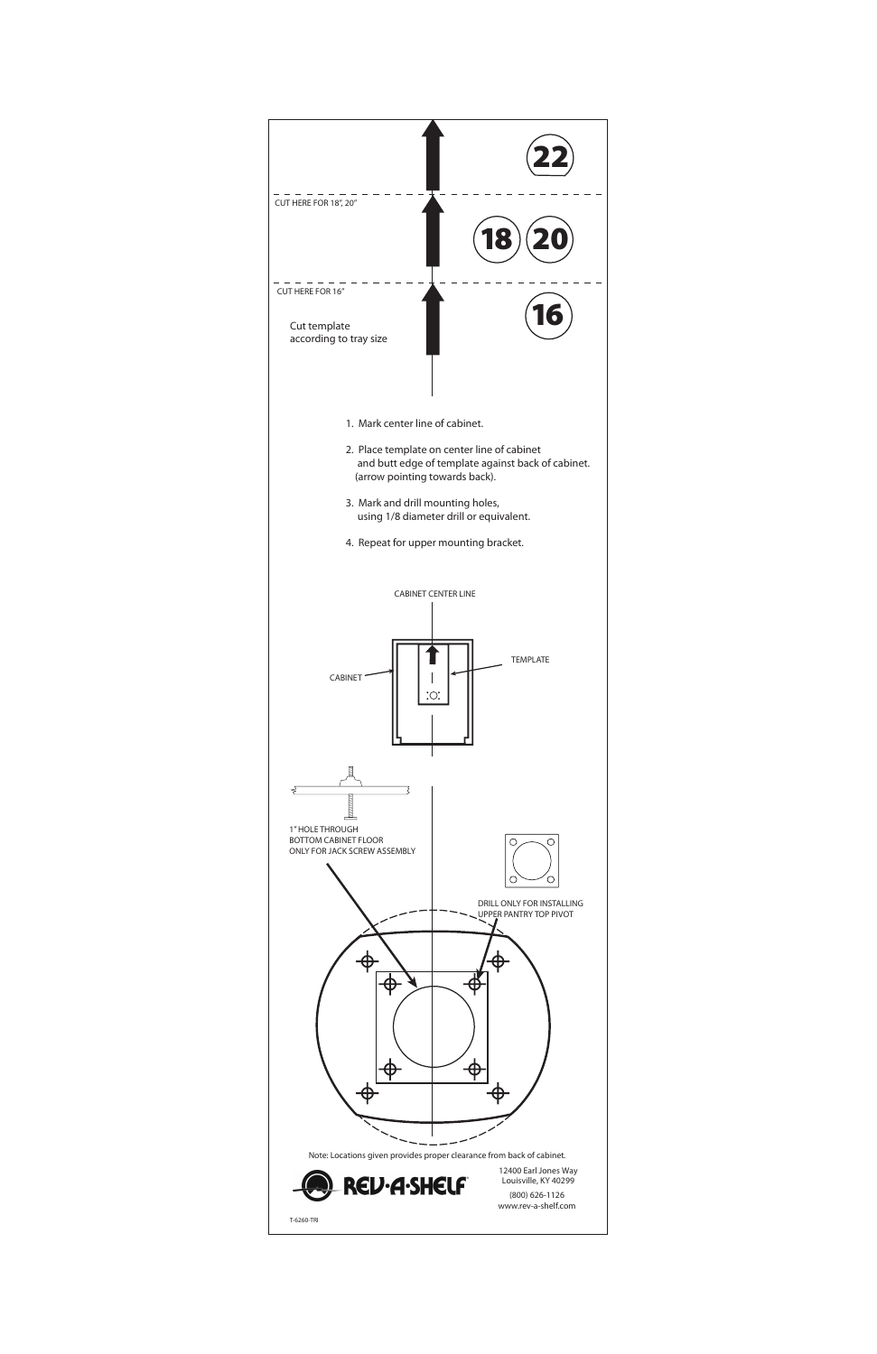